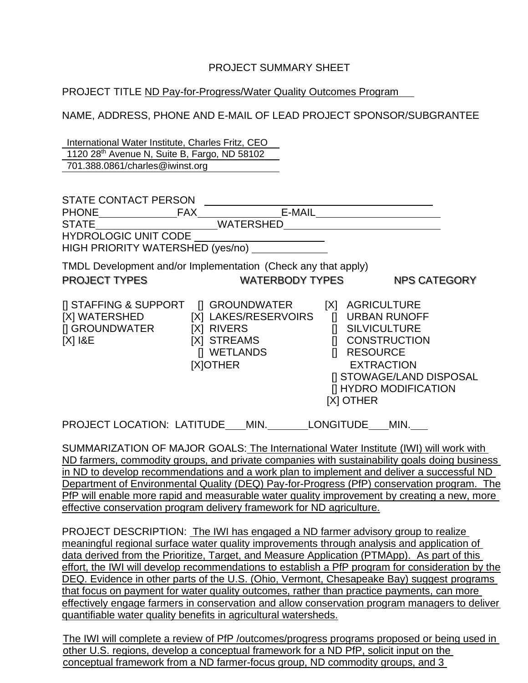### PROJECT SUMMARY SHEET

### PROJECT TITLE ND Pay-for-Progress/Water Quality Outcomes Program

NAME, ADDRESS, PHONE AND E-MAIL OF LEAD PROJECT SPONSOR/SUBGRANTEE

International Water Institute, Charles Fritz, CEO 1120 28th Avenue N, Suite B, Fargo, ND 58102 701.388.0861/charles@iwinst.org

| STATE CONTACT PERSON<br><b>PHONE</b><br><b>STATE</b><br><b>HYDROLOGIC UNIT CODE</b><br>HIGH PRIORITY WATERSHED (yes/no) | E-MAIL<br><b>FAX</b><br><b>WATERSHED</b>                                     |                                                                                                                                                                                                                          |
|-------------------------------------------------------------------------------------------------------------------------|------------------------------------------------------------------------------|--------------------------------------------------------------------------------------------------------------------------------------------------------------------------------------------------------------------------|
| TMDL Development and/or Implementation (Check any that apply)<br><b>PROJECT TYPES</b>                                   | <b>WATERBODY TYPES</b>                                                       | <b>NPS CATEGORY</b>                                                                                                                                                                                                      |
| [I STAFFING & SUPPORT   GROUNDWATER<br>[X] WATERSHED<br>[] GROUNDWATER<br>$[X]$ $18E$                                   | [X] LAKES/RESERVOIRS<br>[X] RIVERS<br>[X] STREAMS<br>[] WETLANDS<br>[X]OTHER | <b>AGRICULTURE</b><br>[X]<br><b>URBAN RUNOFF</b><br>$\prod$<br><b>SILVICULTURE</b><br><b>CONSTRUCTION</b><br><b>RESOURCE</b><br>П<br><b>EXTRACTION</b><br>[I STOWAGE/LAND DISPOSAL<br>[] HYDRO MODIFICATION<br>[X] OTHER |
| <b>PROJECT LOCATION: LATITUDE</b>                                                                                       | MIN.                                                                         | <b>LONGITUDE</b><br>MIN.                                                                                                                                                                                                 |

SUMMARIZATION OF MAJOR GOALS: The International Water Institute (IWI) will work with ND farmers, commodity groups, and private companies with sustainability goals doing business in ND to develop recommendations and a work plan to implement and deliver a successful ND Department of Environmental Quality (DEQ) Pay-for-Progress (PfP) conservation program. The PfP will enable more rapid and measurable water quality improvement by creating a new, more effective conservation program delivery framework for ND agriculture.

PROJECT DESCRIPTION: The IWI has engaged a ND farmer advisory group to realize meaningful regional surface water quality improvements through analysis and application of data derived from the Prioritize, Target, and Measure Application (PTMApp). As part of this effort, the IWI will develop recommendations to establish a PfP program for consideration by the DEQ. Evidence in other parts of the U.S. (Ohio, Vermont, Chesapeake Bay) suggest programs that focus on payment for water quality outcomes, rather than practice payments, can more effectively engage farmers in conservation and allow conservation program managers to deliver quantifiable water quality benefits in agricultural watersheds.

The IWI will complete a review of PfP /outcomes/progress programs proposed or being used in other U.S. regions, develop a conceptual framework for a ND PfP, solicit input on the conceptual framework from a ND farmer-focus group, ND commodity groups, and 3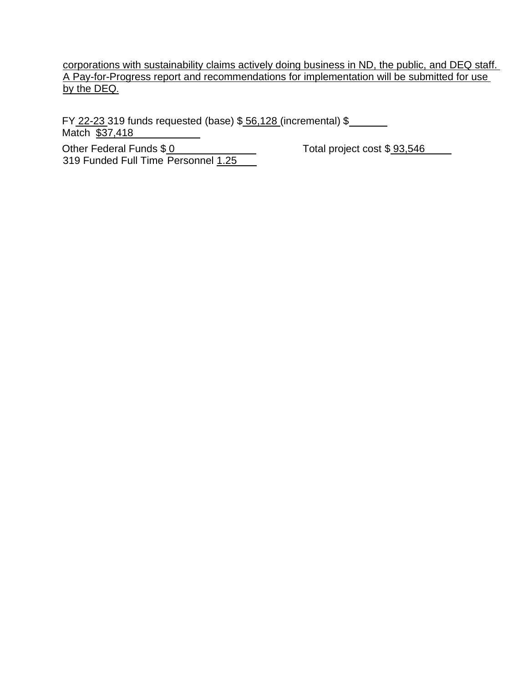corporations with sustainability claims actively doing business in ND, the public, and DEQ staff. A Pay-for-Progress report and recommendations for implementation will be submitted for use by the DEQ.

FY 22-23 319 funds requested (base) \$ 56,128 (incremental) \$ Match \$37,418

Other Federal Funds \$ 0 Total project cost \$ 93,546 319 Funded Full Time Personnel 1.25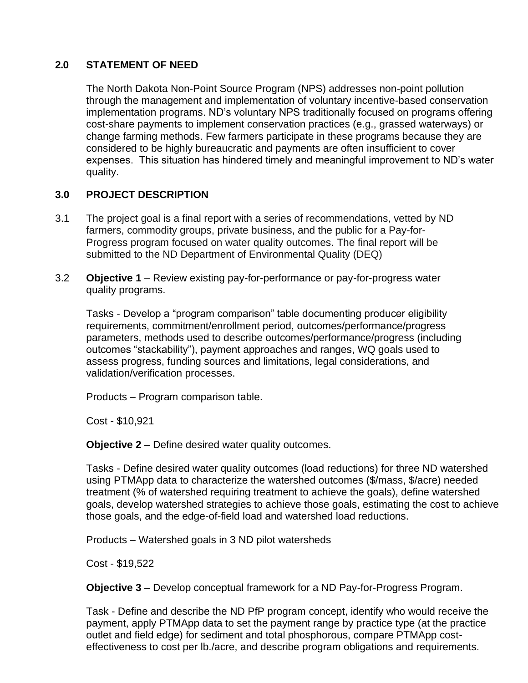# **2.0 STATEMENT OF NEED**

The North Dakota Non-Point Source Program (NPS) addresses non-point pollution through the management and implementation of voluntary incentive-based conservation implementation programs. ND's voluntary NPS traditionally focused on programs offering cost-share payments to implement conservation practices (e.g., grassed waterways) or change farming methods. Few farmers participate in these programs because they are considered to be highly bureaucratic and payments are often insufficient to cover expenses. This situation has hindered timely and meaningful improvement to ND's water quality.

# **3.0 PROJECT DESCRIPTION**

- 3.1 The project goal is a final report with a series of recommendations, vetted by ND farmers, commodity groups, private business, and the public for a Pay-for-Progress program focused on water quality outcomes. The final report will be submitted to the ND Department of Environmental Quality (DEQ)
- 3.2 **Objective 1**  Review existing pay-for-performance or pay-for-progress water quality programs.

Tasks - Develop a "program comparison" table documenting producer eligibility requirements, commitment/enrollment period, outcomes/performance/progress parameters, methods used to describe outcomes/performance/progress (including outcomes "stackability"), payment approaches and ranges, WQ goals used to assess progress, funding sources and limitations, legal considerations, and validation/verification processes.

Products – Program comparison table.

Cost - \$10,921

**Objective 2** – Define desired water quality outcomes.

Tasks - Define desired water quality outcomes (load reductions) for three ND watershed using PTMApp data to characterize the watershed outcomes (\$/mass, \$/acre) needed treatment (% of watershed requiring treatment to achieve the goals), define watershed goals, develop watershed strategies to achieve those goals, estimating the cost to achieve those goals, and the edge-of-field load and watershed load reductions.

Products – Watershed goals in 3 ND pilot watersheds

Cost - \$19,522

**Objective 3** – Develop conceptual framework for a ND Pay-for-Progress Program.

Task - Define and describe the ND PfP program concept, identify who would receive the payment, apply PTMApp data to set the payment range by practice type (at the practice outlet and field edge) for sediment and total phosphorous, compare PTMApp costeffectiveness to cost per lb./acre, and describe program obligations and requirements.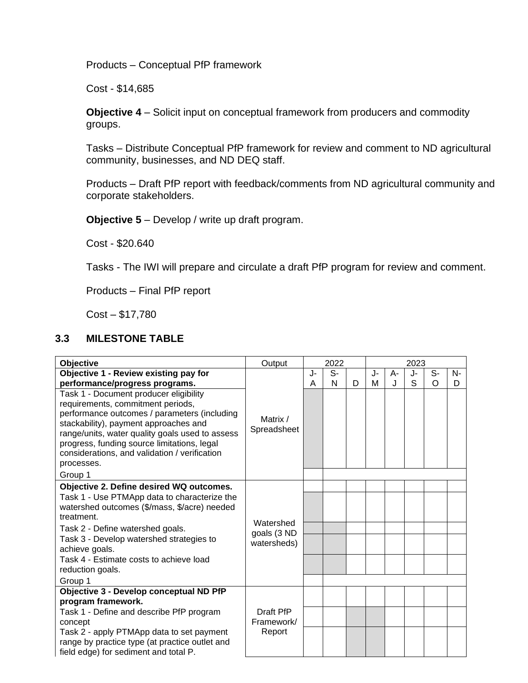Products – Conceptual PfP framework

Cost - \$14,685

**Objective 4** – Solicit input on conceptual framework from producers and commodity groups.

Tasks – Distribute Conceptual PfP framework for review and comment to ND agricultural community, businesses, and ND DEQ staff.

Products – Draft PfP report with feedback/comments from ND agricultural community and corporate stakeholders.

**Objective 5** – Develop / write up draft program.

Cost - \$20.640

Tasks - The IWI will prepare and circulate a draft PfP program for review and comment.

Products – Final PfP report

Cost – \$17,780

# **3.3 MILESTONE TABLE**

| Objective                                                                                   | Output                                  | 2022 |      | 2023 |    |              |    |          |    |
|---------------------------------------------------------------------------------------------|-----------------------------------------|------|------|------|----|--------------|----|----------|----|
| Objective 1 - Review existing pay for                                                       |                                         | J-   | $S-$ |      | J- | A-           | J- | S-       | N- |
| performance/progress programs.                                                              |                                         | A    | N    | D    | м  | $\mathbf{J}$ | S  | $\Omega$ | D  |
| Task 1 - Document producer eligibility                                                      | Matrix /<br>Spreadsheet                 |      |      |      |    |              |    |          |    |
| requirements, commitment periods,                                                           |                                         |      |      |      |    |              |    |          |    |
| performance outcomes / parameters (including                                                |                                         |      |      |      |    |              |    |          |    |
| stackability), payment approaches and<br>range/units, water quality goals used to assess    |                                         |      |      |      |    |              |    |          |    |
| progress, funding source limitations, legal                                                 |                                         |      |      |      |    |              |    |          |    |
| considerations, and validation / verification                                               |                                         |      |      |      |    |              |    |          |    |
| processes.                                                                                  |                                         |      |      |      |    |              |    |          |    |
| Group 1                                                                                     |                                         |      |      |      |    |              |    |          |    |
| Objective 2. Define desired WQ outcomes.                                                    | Watershed<br>goals (3 ND<br>watersheds) |      |      |      |    |              |    |          |    |
| Task 1 - Use PTMApp data to characterize the                                                |                                         |      |      |      |    |              |    |          |    |
| watershed outcomes (\$/mass, \$/acre) needed                                                |                                         |      |      |      |    |              |    |          |    |
| treatment.                                                                                  |                                         |      |      |      |    |              |    |          |    |
| Task 2 - Define watershed goals.                                                            |                                         |      |      |      |    |              |    |          |    |
| Task 3 - Develop watershed strategies to<br>achieve goals.                                  |                                         |      |      |      |    |              |    |          |    |
| Task 4 - Estimate costs to achieve load                                                     |                                         |      |      |      |    |              |    |          |    |
| reduction goals.                                                                            |                                         |      |      |      |    |              |    |          |    |
| Group 1                                                                                     |                                         |      |      |      |    |              |    |          |    |
| Objective 3 - Develop conceptual ND PfP                                                     |                                         |      |      |      |    |              |    |          |    |
| program framework.                                                                          |                                         |      |      |      |    |              |    |          |    |
| Task 1 - Define and describe PfP program                                                    | Draft PfP<br>Framework/                 |      |      |      |    |              |    |          |    |
| concept                                                                                     |                                         |      |      |      |    |              |    |          |    |
| Task 2 - apply PTMApp data to set payment<br>range by practice type (at practice outlet and | Report                                  |      |      |      |    |              |    |          |    |
| field edge) for sediment and total P.                                                       |                                         |      |      |      |    |              |    |          |    |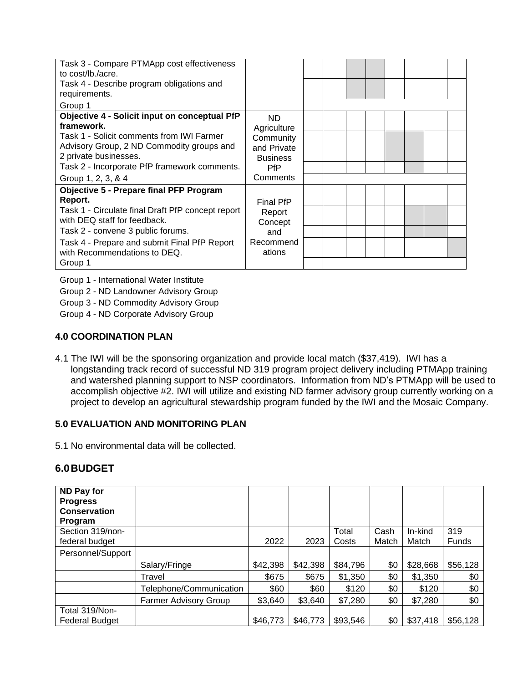| Task 3 - Compare PTMApp cost effectiveness<br>to cost/lb./acre.<br>Task 4 - Describe program obligations and<br>requirements.<br>Group 1 |                                                           |  |  |  |  |
|------------------------------------------------------------------------------------------------------------------------------------------|-----------------------------------------------------------|--|--|--|--|
| Objective 4 - Solicit input on conceptual PfP<br>framework.                                                                              | ND.<br>Agriculture                                        |  |  |  |  |
| Task 1 - Solicit comments from IWI Farmer<br>Advisory Group, 2 ND Commodity groups and<br>2 private businesses.                          | Community<br>and Private<br><b>Business</b><br><b>PfP</b> |  |  |  |  |
| Task 2 - Incorporate PfP framework comments.                                                                                             |                                                           |  |  |  |  |
| Group 1, 2, 3, & 4                                                                                                                       | Comments                                                  |  |  |  |  |
| <b>Objective 5 - Prepare final PFP Program</b>                                                                                           |                                                           |  |  |  |  |
| Report.                                                                                                                                  | <b>Final PfP</b>                                          |  |  |  |  |
| Task 1 - Circulate final Draft PfP concept report<br>with DEQ staff for feedback.                                                        | Report<br>Concept                                         |  |  |  |  |
| Task 2 - convene 3 public forums.                                                                                                        | and                                                       |  |  |  |  |
| Task 4 - Prepare and submit Final PfP Report<br>with Recommendations to DEQ.                                                             | Recommend<br>ations                                       |  |  |  |  |
| Group 1                                                                                                                                  |                                                           |  |  |  |  |

Group 1 - International Water Institute

Group 2 - ND Landowner Advisory Group

Group 3 - ND Commodity Advisory Group

Group 4 - ND Corporate Advisory Group

#### **4.0 COORDINATION PLAN**

4.1 The IWI will be the sponsoring organization and provide local match (\$37,419). IWI has a longstanding track record of successful ND 319 program project delivery including PTMApp training and watershed planning support to NSP coordinators. Information from ND's PTMApp will be used to accomplish objective #2. IWI will utilize and existing ND farmer advisory group currently working on a project to develop an agricultural stewardship program funded by the IWI and the Mosaic Company.

### **5.0 EVALUATION AND MONITORING PLAN**

5.1 No environmental data will be collected.

# **6.0BUDGET**

| ND Pay for<br><b>Progress</b><br><b>Conservation</b><br>Program |                              |          |          |          |       |          |              |
|-----------------------------------------------------------------|------------------------------|----------|----------|----------|-------|----------|--------------|
| Section 319/non-                                                |                              |          |          | Total    | Cash  | In-kind  | 319          |
| federal budget                                                  |                              | 2022     | 2023     | Costs    | Match | Match    | <b>Funds</b> |
| Personnel/Support                                               |                              |          |          |          |       |          |              |
|                                                                 | Salary/Fringe                | \$42,398 | \$42,398 | \$84,796 | \$0   | \$28,668 | \$56,128     |
|                                                                 | Travel                       | \$675    | \$675    | \$1,350  | \$0   | \$1,350  | \$0          |
|                                                                 | Telephone/Communication      | \$60     | \$60     | \$120    | \$0   | \$120    | \$0          |
|                                                                 | <b>Farmer Advisory Group</b> | \$3,640  | \$3,640  | \$7,280  | \$0   | \$7,280  | \$0          |
| Total 319/Non-                                                  |                              |          |          |          |       |          |              |
| <b>Federal Budget</b>                                           |                              | \$46,773 | \$46,773 | \$93,546 | \$0   | \$37,418 | \$56,128     |